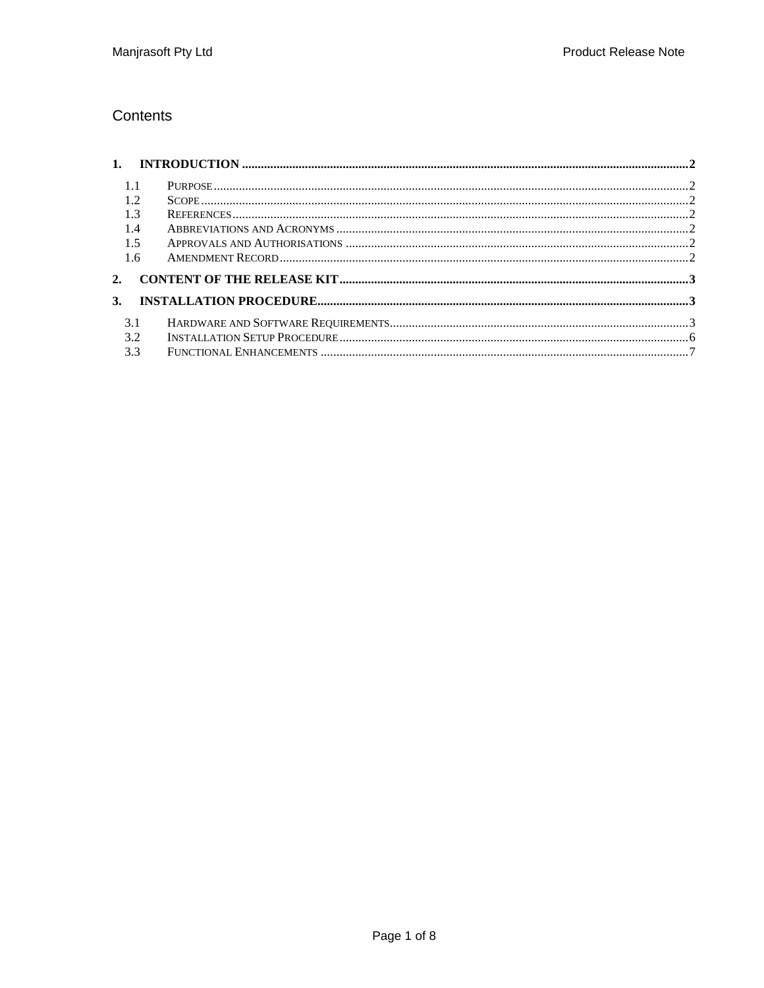#### Contents

| $-1.1$ |  |
|--------|--|
| 1.2    |  |
| 1.3    |  |
| 1.4    |  |
| 1.5    |  |
| 1.6    |  |
| 2.     |  |
| 3.     |  |
| 3.1    |  |
| 3.2    |  |
| 3.3    |  |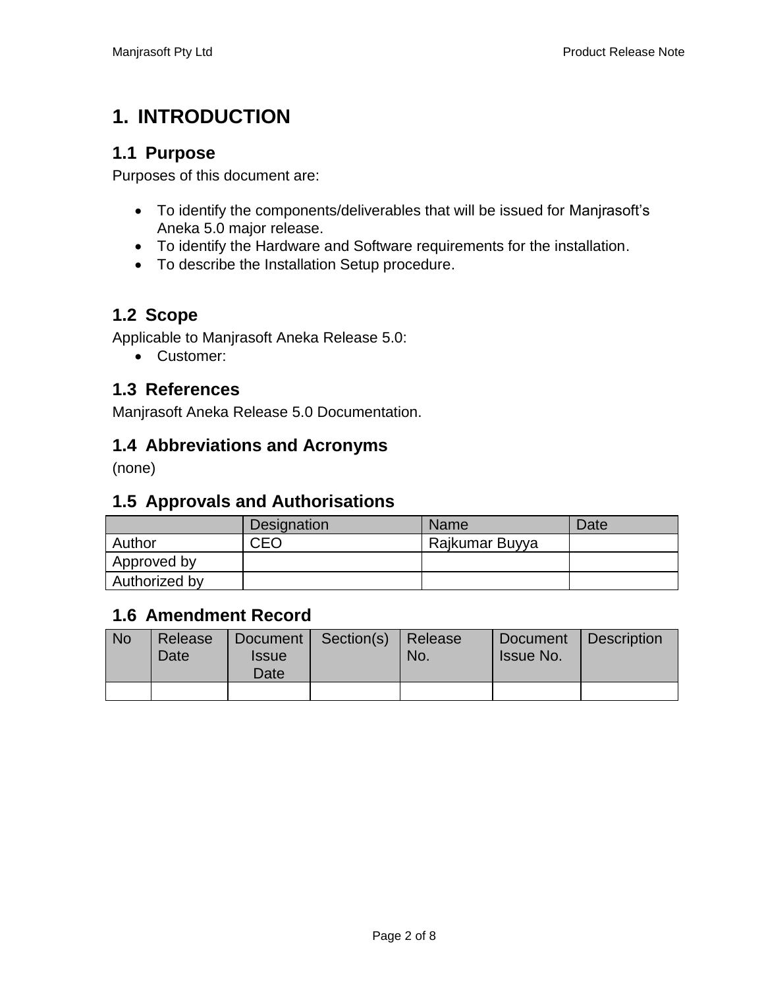## **1. INTRODUCTION**

### **1.1 Purpose**

Purposes of this document are:

- To identify the components/deliverables that will be issued for Manjrasoft's Aneka 5.0 major release.
- To identify the Hardware and Software requirements for the installation.
- To describe the Installation Setup procedure.

### **1.2 Scope**

Applicable to Manjrasoft Aneka Release 5.0:

• Customer:

#### **1.3 References**

Manjrasoft Aneka Release 5.0 Documentation.

#### **1.4 Abbreviations and Acronyms**

(none)

## **1.5 Approvals and Authorisations**

|               | Designation | <b>Name</b>    | Date |
|---------------|-------------|----------------|------|
| Author        | CEO         | Rajkumar Buyya |      |
| Approved by   |             |                |      |
| Authorized by |             |                |      |

#### **1.6 Amendment Record**

| <b>No</b> | Release<br>Date | <i><b>Issue</b></i><br>Date | Document   Section(s)   Release | No. | Document<br><b>Issue No.</b> | Description |
|-----------|-----------------|-----------------------------|---------------------------------|-----|------------------------------|-------------|
|           |                 |                             |                                 |     |                              |             |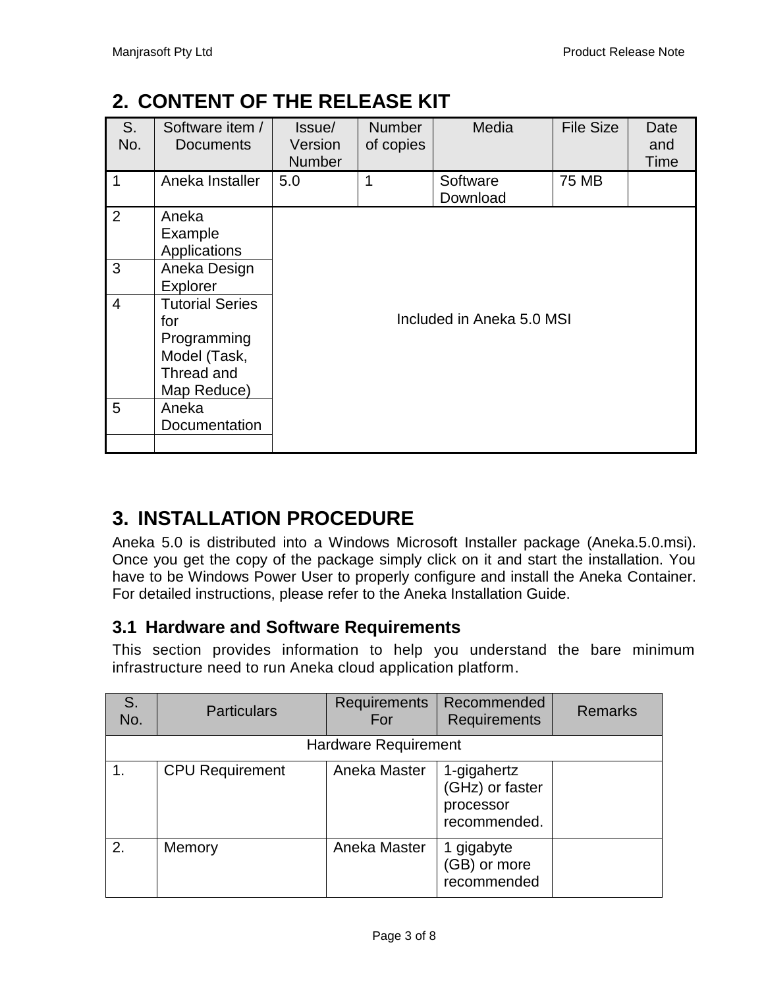## **2. CONTENT OF THE RELEASE KIT**

| S.<br>No.      | Software item /<br>Documents                                                              | Issue/<br>Version<br><b>Number</b> | <b>Number</b><br>of copies | Media                | <b>File Size</b> | Date<br>and<br>Time |  |  |
|----------------|-------------------------------------------------------------------------------------------|------------------------------------|----------------------------|----------------------|------------------|---------------------|--|--|
| $\mathbf 1$    | Aneka Installer                                                                           | 5.0                                | 1                          | Software<br>Download | 75 MB            |                     |  |  |
| $\overline{2}$ | Aneka<br>Example<br>Applications                                                          |                                    |                            |                      |                  |                     |  |  |
| 3              | Aneka Design<br>Explorer                                                                  |                                    |                            |                      |                  |                     |  |  |
| $\overline{4}$ | <b>Tutorial Series</b><br>for<br>Programming<br>Model (Task,<br>Thread and<br>Map Reduce) | Included in Aneka 5.0 MSI          |                            |                      |                  |                     |  |  |
| 5              | Aneka<br>Documentation                                                                    |                                    |                            |                      |                  |                     |  |  |

# **3. INSTALLATION PROCEDURE**

Aneka 5.0 is distributed into a Windows Microsoft Installer package (Aneka.5.0.msi). Once you get the copy of the package simply click on it and start the installation. You have to be Windows Power User to properly configure and install the Aneka Container. For detailed instructions, please refer to the Aneka Installation Guide.

## **3.1 Hardware and Software Requirements**

This section provides information to help you understand the bare minimum infrastructure need to run Aneka cloud application platform.

| S.<br>No. | <b>Particulars</b>          | <b>Requirements</b><br>For | Recommended<br>Requirements                                 | <b>Remarks</b> |  |  |
|-----------|-----------------------------|----------------------------|-------------------------------------------------------------|----------------|--|--|
|           | <b>Hardware Requirement</b> |                            |                                                             |                |  |  |
| 1.        | <b>CPU Requirement</b>      | Aneka Master               | 1-gigahertz<br>(GHz) or faster<br>processor<br>recommended. |                |  |  |
| 2.        | Memory                      | Aneka Master               | 1 gigabyte<br>(GB) or more<br>recommended                   |                |  |  |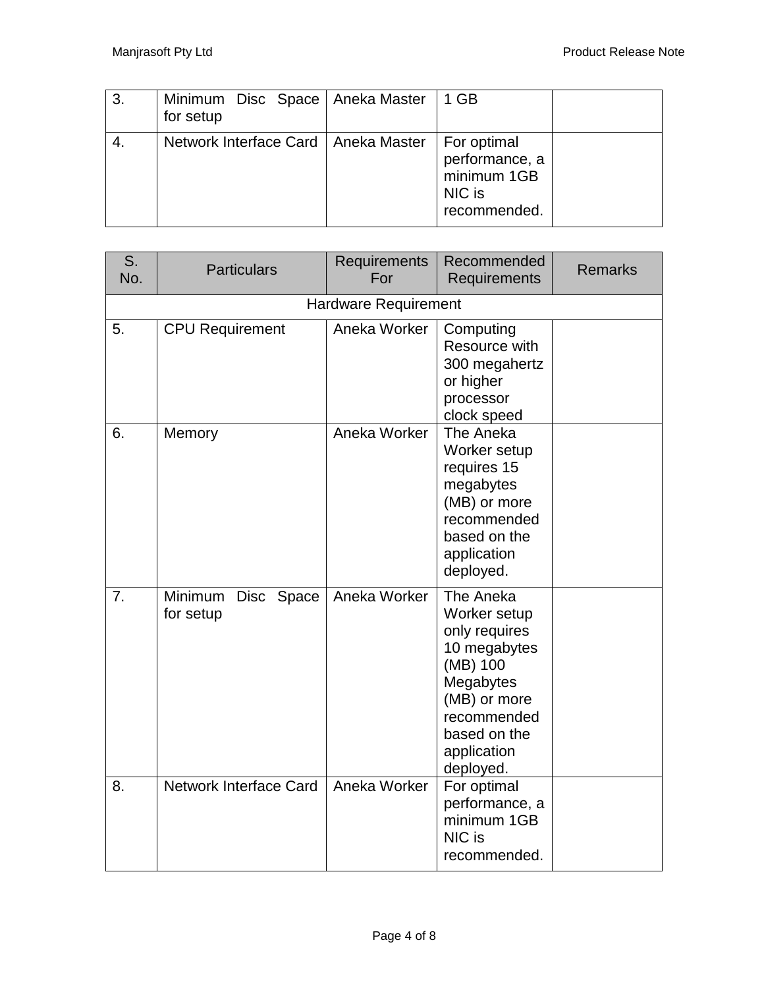| 3. | Minimum Disc Space   Aneka Master<br>for setup | 1 GB                                                                   |  |
|----|------------------------------------------------|------------------------------------------------------------------------|--|
|    | Network Interface Card   Aneka Master          | For optimal<br>performance, a<br>minimum 1GB<br>NIC is<br>recommended. |  |

| S.<br>No. | <b>Particulars</b>                 | Requirements<br>For | Recommended<br><b>Requirements</b>                                                                                                                             | <b>Remarks</b> |  |  |  |
|-----------|------------------------------------|---------------------|----------------------------------------------------------------------------------------------------------------------------------------------------------------|----------------|--|--|--|
|           | <b>Hardware Requirement</b>        |                     |                                                                                                                                                                |                |  |  |  |
| 5.        | <b>CPU Requirement</b>             | Aneka Worker        | Computing<br>Resource with<br>300 megahertz<br>or higher<br>processor<br>clock speed                                                                           |                |  |  |  |
| 6.        | Memory                             | Aneka Worker        | The Aneka<br>Worker setup<br>requires 15<br>megabytes<br>(MB) or more<br>recommended<br>based on the<br>application<br>deployed.                               |                |  |  |  |
| 7.        | Minimum<br>Disc Space<br>for setup | Aneka Worker        | The Aneka<br>Worker setup<br>only requires<br>10 megabytes<br>(MB) 100<br>Megabytes<br>(MB) or more<br>recommended<br>based on the<br>application<br>deployed. |                |  |  |  |
| 8.        | <b>Network Interface Card</b>      | Aneka Worker        | For optimal<br>performance, a<br>minimum 1GB<br>NIC is<br>recommended.                                                                                         |                |  |  |  |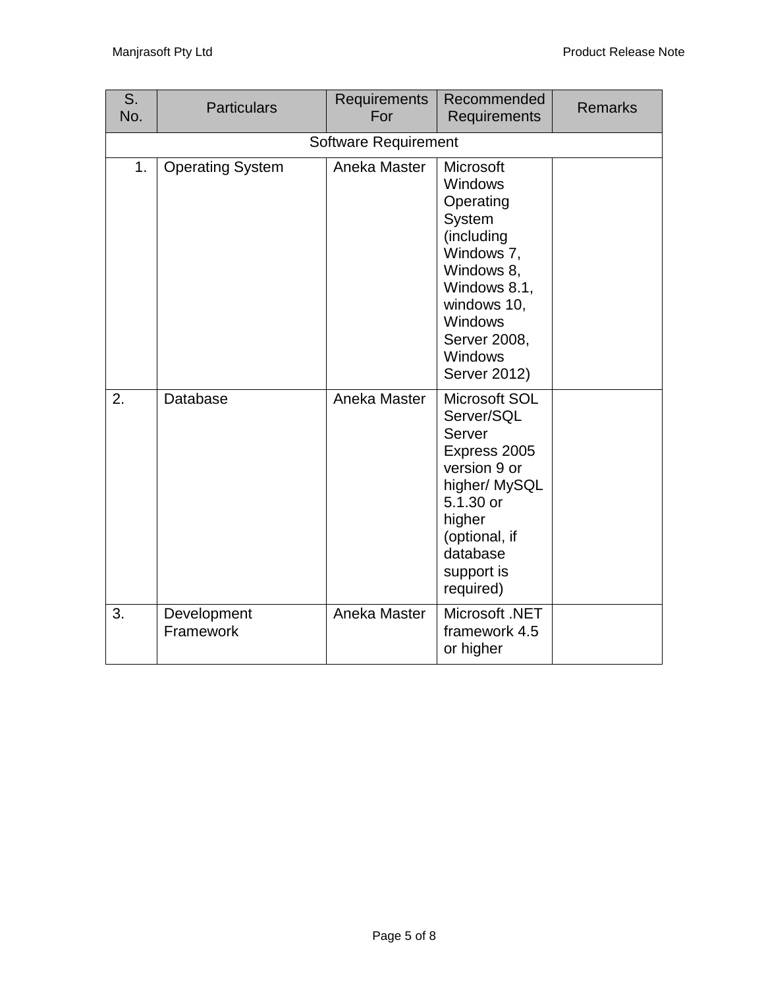| S.<br>No. | <b>Particulars</b>       | <b>Requirements</b><br>For  | Recommended<br>Requirements                                                                                                                                                              | <b>Remarks</b> |
|-----------|--------------------------|-----------------------------|------------------------------------------------------------------------------------------------------------------------------------------------------------------------------------------|----------------|
|           |                          | <b>Software Requirement</b> |                                                                                                                                                                                          |                |
| 1.        | <b>Operating System</b>  | Aneka Master                | Microsoft<br><b>Windows</b><br>Operating<br>System<br>(including<br>Windows 7,<br>Windows 8,<br>Windows 8.1,<br>windows 10,<br>Windows<br>Server 2008,<br>Windows<br><b>Server 2012)</b> |                |
| 2.        | Database                 | Aneka Master                | Microsoft SOL<br>Server/SQL<br>Server<br>Express 2005<br>version 9 or<br>higher/ MySQL<br>5.1.30 or<br>higher<br>(optional, if<br>database<br>support is<br>required)                    |                |
| 3.        | Development<br>Framework | Aneka Master                | Microsoft .NET<br>framework 4.5<br>or higher                                                                                                                                             |                |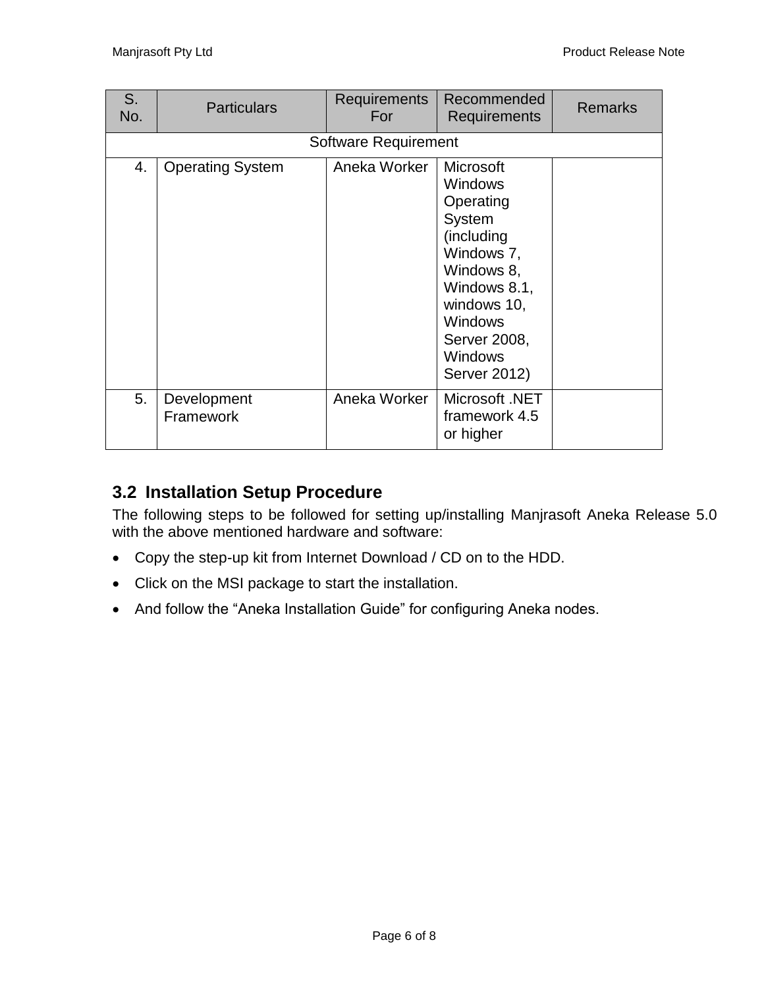| S.<br>No. | <b>Particulars</b>       | <b>Requirements</b><br>For  | Recommended<br><b>Requirements</b>                                                                                                                                                                     | <b>Remarks</b> |
|-----------|--------------------------|-----------------------------|--------------------------------------------------------------------------------------------------------------------------------------------------------------------------------------------------------|----------------|
|           |                          | <b>Software Requirement</b> |                                                                                                                                                                                                        |                |
| 4.        | <b>Operating System</b>  | Aneka Worker                | <b>Microsoft</b><br><b>Windows</b><br>Operating<br>System<br>(including<br>Windows 7,<br>Windows 8,<br>Windows 8.1,<br>windows 10,<br><b>Windows</b><br>Server 2008,<br><b>Windows</b><br>Server 2012) |                |
| 5.        | Development<br>Framework | Aneka Worker                | Microsoft .NET<br>framework 4.5<br>or higher                                                                                                                                                           |                |

## **3.2 Installation Setup Procedure**

The following steps to be followed for setting up/installing Manjrasoft Aneka Release 5.0 with the above mentioned hardware and software:

- Copy the step-up kit from Internet Download / CD on to the HDD.
- Click on the MSI package to start the installation.
- And follow the "Aneka Installation Guide" for configuring Aneka nodes.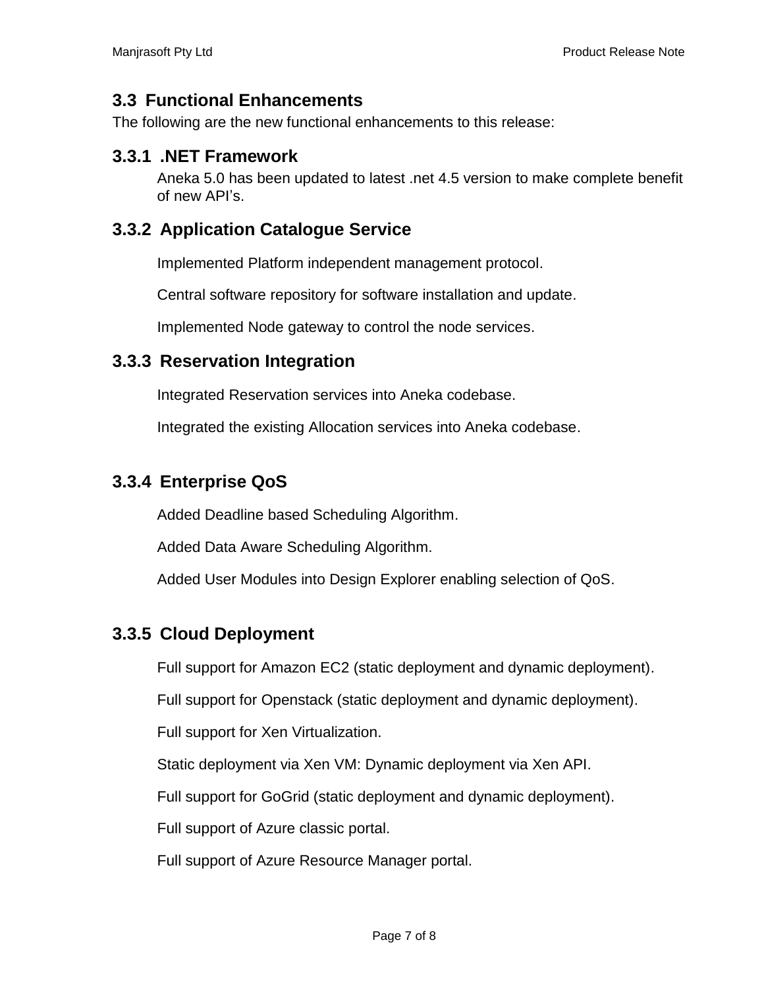#### **3.3 Functional Enhancements**

The following are the new functional enhancements to this release:

#### **3.3.1 .NET Framework**

Aneka 5.0 has been updated to latest .net 4.5 version to make complete benefit of new API's.

#### **3.3.2 Application Catalogue Service**

Implemented Platform independent management protocol.

Central software repository for software installation and update.

Implemented Node gateway to control the node services.

#### **3.3.3 Reservation Integration**

Integrated Reservation services into Aneka codebase.

Integrated the existing Allocation services into Aneka codebase.

#### **3.3.4 Enterprise QoS**

Added Deadline based Scheduling Algorithm.

Added Data Aware Scheduling Algorithm.

Added User Modules into Design Explorer enabling selection of QoS.

#### **3.3.5 Cloud Deployment**

Full support for Amazon EC2 (static deployment and dynamic deployment).

Full support for Openstack (static deployment and dynamic deployment).

Full support for Xen Virtualization.

Static deployment via Xen VM: Dynamic deployment via Xen API.

Full support for GoGrid (static deployment and dynamic deployment).

Full support of Azure classic portal.

Full support of Azure Resource Manager portal.